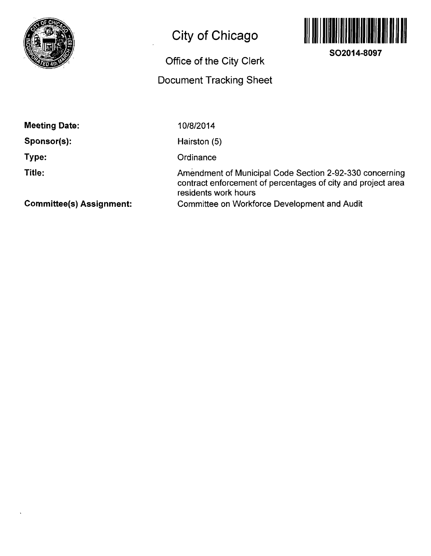

## **City of Chicago**

## **Office of the City Clerk Document Tracking Sheet**



**SO2014-8097** 

**Meeting Date:** 

**Sponsor(s):** 

**Type:** 

**Title:** 

10/8/2014

Hairston (5)

**Ordinance** 

Amendment of Municipal Code Section 2-92-330 concerning contract enforcement of percentages of city and project area residents work hours Committee on Workforce Development and Audit

**Committee(s) Assignment:**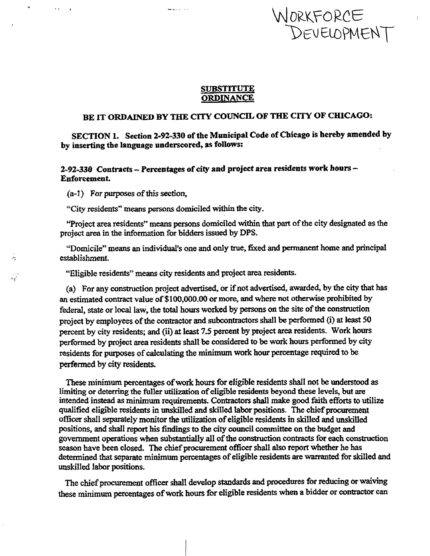# **\/Nj0R.K5=ORCe**

#### **SUBSTITUTE ORDINANCE**

### **BE IT ORDAINED BY THE CITY COUNCIL OF THE CITY OF CHICAGO:**

**SECTION 1. Section 2-92-330 of the Municipal Code of Chicago is hereby amended by by inserting the language underscored, as follows:** 

**2-92-330 Contracts - Percentages of city and project area residents work hours - Enforcement.** 

**(a-1) For purposes of this section,** 

 $\sim$   $\sim$ 

 $\Delta$ 

تبد

**"City residents" means persons domiciled within the city.** 

**"Project area residents" means persons domiciled within that part of the city designated as the project area in the information for bidders issued by DPS.** 

**''Domicile" means an individual's one and only true, fixed and permanent home and principal establishment.** 

**"Eligible residents" means city residents and project area residents.** 

**(a) For any construction project advertised, or if not advertised, awarded, by the city that has an estimated contract value of \$100,000.00 or more, and where not otherwise prohibited by federal, state or local law, the total hours worked by persons on the site of the construction project by employees of the contractor and subcontractors shall be performed (i) at least 50**  percent by city residents; and (ii) at least 7.5 percent by project area residents. Work hours **performed by project area residents shall be considered to be work hours performed by city residents for purposes of calculating the minimum work hour percentage required to be perfonned by city residents.** 

**These minimum percentages of work hours for eligible residents shall not be understood as limiting or deterring the fuller utilization of eligible residents beyond these levels, but are intended instead as minimum requirements. Contractors shall make good faith efforts to utilize qualified eli^ble residents in unskilled and skilled labor positions. The chief procurement officer shall separately monitor the utilization of eligible residents in skilled and unskilled**  positions, and shall report his findings to the city council committee on the budget and **government operations \^^en substantially all of the construction contracts for each construction season have been closed. The chief procurement officer shall also report whether he has determined that separate minimum percentages of eligible residents are warranted for skilled and unskilled labor positions.** 

**The chief procurement officer shall develop standards and procedures for reducing or waiving these minimum percentages of work hours for eligible residents when a bidder or contractor can**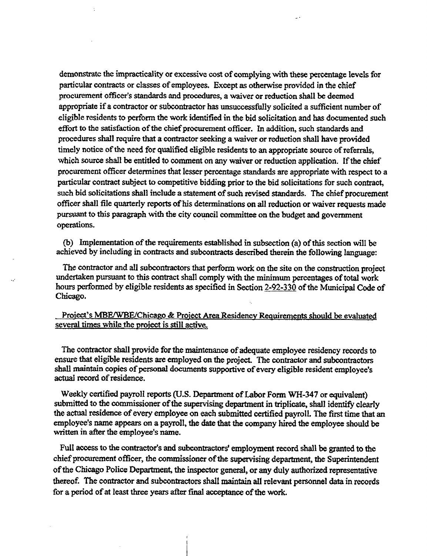**demonstrate the impracticality or excessive cost of complying with these percentage levels for particular contracts or classes of employees. Except as otherwise provided in the chief procurement officer's standards and procedures, a waiver or reduction shall be deemed**  appropriate if a contractor or subcontractor has unsuccessfully solicited a sufficient number of **eligible residents to perform the work identified in the bid solicitation and has documented such effort to the satisfaction of the chief procurement officer. In addition, such standards and procedures shall require that a contractor seeking a waiver or reduction shall have provided timely notice of the need for qualified eligible residents to an appropriate source of referrals, which source shall be entitled to comment on any waiver or reduction application. If the chief procurement officer determines that lesser percentage standards are appropriate with respect to a particular contract subject to competitive bidding prior to the bid solicitations for such contract, such bid solicitations shall include a statement of such revised standards. The chief procurement officer shall file quarterly reports of his determinations on all reduction or waiver requests made pursuant to this paragraph with the city council committee on the budget and govemment operations.** 

**(b) Implementation of the requirements established in subsection (a) of this section will be achieved by including in contracts and subcontracts described therein the following language:** 

**The contractor and all subcontractors that perform work on the site on the construction project undertaken pursuant to this contract shall comply with the minimum percentages of total work hours performed by eligible residents as specified in Section 2-92-330 of the Municipal Code of Chicago.** 

#### **Project's MBE/WBE/Chicago & Project Area Residency Requirements should be evaluated**  several times while the project is still active.

**The contractor shall provide for the maintenance of adequate employee residency records to**  ensure that eligible residents are employed on the project. The contractor and subcontractors **shall maintain copies of personal documents supportive of every eligible resident employee's actual record of residence.** 

**Weekly certified payroll reports (U.S. Department of Labor Form WH-347 or equivalent) submitted to the commissioner of the supervising department in triplicate, shall identify clearly the actual residence of every employee on each submitted certified payroll. The first time that an employee's name appears on a payroll, the date that the company hired the employee should be written in after the employee's name.** 

**Full access to the contractor's and subcontractors' employment record shall be granted to the chief procurement officer, the commissioner of the supervising department, the Superintendent of the Chicago Police Department, the inspector general, or any duly authorized representative thereof. The contractor and subcontractors shall maintain all relevant persormel data in records for a period of at least three years after final acceptance of the work.**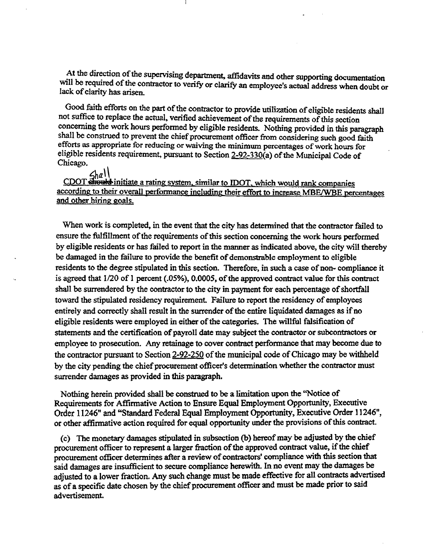**At the direction of the supervising department, affidavits and other supporting documentation**  will be required of the contractor to verify or clarify an employee's actual address when doubt or **lack of clanty has arisen.** 

**Good faith efforts on the part of the contractor to provide utilization of eligible residents shall not suffice to replace the actual, verified achievement of the requirements of this section concerning the work hours performed by eligible residents. Nothing provided in this paragraph shall be construed to prevent the chief procurement officer from considering such good faith efforts as appropriate for reducing or waiving the minimum percentages of work hours for**  eligible residents requirement, pursuant to Section 2-92-330(a) of the Municipal Code of **Chicago.** 

 $\frac{CDOT\sin\theta}{\sin\theta}$  initiate a rating system, similar to IDOT, which would rank companies **according to their overall performance including their effort to increase MBE/WBE percentages and other hiring goals.** 

**When work is completed, in the event that the city has determined that the contractor failed to ensure the fulfillment of the requirements of this section conceming the work hours perfonned**  by eligible residents or has failed to report in the manner as indicated above, the city will thereby **be damaged in the failure to provide the benefit of demonstrable employment to eligible residents to the degree stipulated in this section. Therefore, in such a case of non- compliance it is agreed that 1/20 of 1 percent (.05%), 0.0005, of the approved contract value for this contract shall be surrendered by the contractor to the city in payment for each percentage of shortfall**  toward the stipulated residency requirement. Failure to report the residency of employees **entirely and correctly shall result in the surrender of the entire liquidated damages as if no eligible residents were employed in either of the categories. The willful falsification of statements and the certification of payroll date may subject the contractor or subcontractors or employee to prosecution. Any retainage to cover contract performance that may become due to the contractor pursuant to Section 2-92-250 of the municipal code of Chicago may be withheld by the city pending the chief procurement officer's determination whether the contractor must surrender damages as provided in this paragraph.** 

**Nothing herein provided shall be construed to be a limitation upon the "Notice of Requirements for Affirmative Action to Ensure Equal Employment Opportunity, Executive Order 11246" and '\*Standard Federal Equal Employment Opportunity, Executive Order 11246", or other affirmative action required for equal opportunity under the provisions of this contract.** 

**(c) The monetary damages stipulated in subsection (b) hereof may be adjusted by the chief**  procurement officer to represent a larger fraction of the approved contract value, if the chief procurement officer determines after a review of contractors' compliance with this section that **said damages are insufficient to secure compliance herewith. In no event may the damages be adjusted to a lower fraction. Any such change must be made effective for all contracts advertised as of a specific date chosen by the chief procurement officer and must be made prior to said**  advertisement.